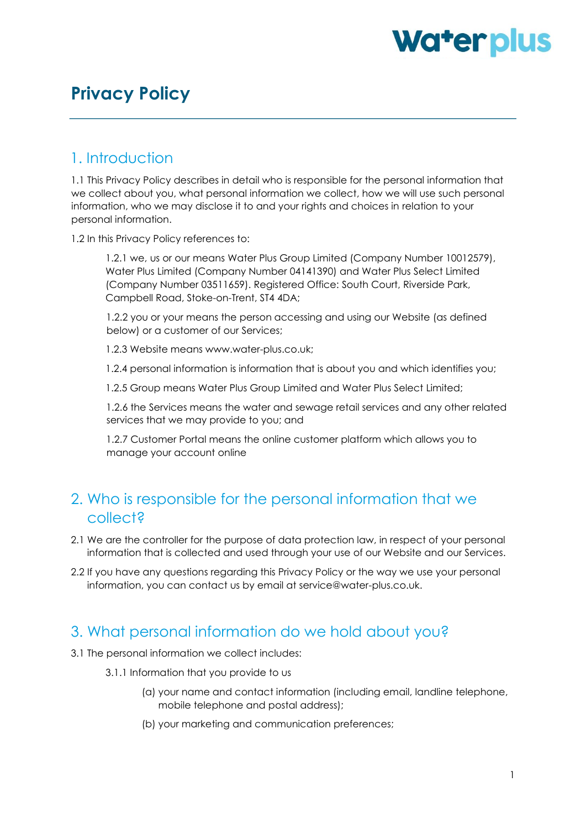# Waterplus

# **Privacy Policy**

#### 1. Introduction

1.1 This Privacy Policy describes in detail who is responsible for the personal information that we collect about you, what personal information we collect, how we will use such personal information, who we may disclose it to and your rights and choices in relation to your personal information.

1.2 In this Privacy Policy references to:

1.2.1 we, us or our means Water Plus Group Limited (Company Number 10012579), Water Plus Limited (Company Number 04141390) and Water Plus Select Limited (Company Number 03511659). Registered Office: South Court, Riverside Park, Campbell Road, Stoke-on-Trent, ST4 4DA;

1.2.2 you or your means the person accessing and using our Website (as defined below) or a customer of our Services;

1.2.3 Website means www.water-plus.co.uk;

1.2.4 personal information is information that is about you and which identifies you;

1.2.5 Group means Water Plus Group Limited and Water Plus Select Limited;

1.2.6 the Services means the water and sewage retail services and any other related services that we may provide to you; and

1.2.7 Customer Portal means the online customer platform which allows you to manage your account online

#### 2. Who is responsible for the personal information that we collect?

- 2.1 We are the controller for the purpose of data protection law, in respect of your personal information that is collected and used through your use of our Website and our Services.
- 2.2 If you have any questions regarding this Privacy Policy or the way we use your personal information, you can contact us by email at service@water-plus.co.uk.

#### 3. What personal information do we hold about you?

- 3.1 The personal information we collect includes:
	- 3.1.1 Information that you provide to us
		- (a) your name and contact information (including email, landline telephone, mobile telephone and postal address);
		- (b) your marketing and communication preferences;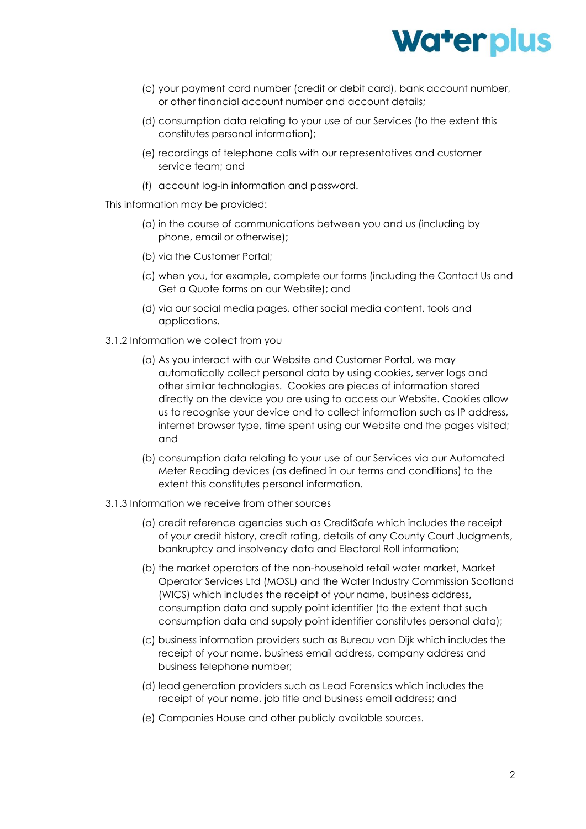

- (c) your payment card number (credit or debit card), bank account number, or other financial account number and account details;
- (d) consumption data relating to your use of our Services (to the extent this constitutes personal information);
- (e) recordings of telephone calls with our representatives and customer service team; and
- (f) account log-in information and password.

This information may be provided:

- (a) in the course of communications between you and us (including by phone, email or otherwise);
- (b) via the Customer Portal;
- (c) when you, for example, complete our forms (including the Contact Us and Get a Quote forms on our Website); and
- (d) via our social media pages, other social media content, tools and applications.
- 3.1.2 Information we collect from you
	- (a) As you interact with our Website and Customer Portal, we may automatically collect personal data by using cookies, server logs and other similar technologies. Cookies are pieces of information stored directly on the device you are using to access our Website. Cookies allow us to recognise your device and to collect information such as IP address, internet browser type, time spent using our Website and the pages visited; and
	- (b) consumption data relating to your use of our Services via our Automated Meter Reading devices (as defined in our terms and conditions) to the extent this constitutes personal information.
- 3.1.3 Information we receive from other sources
	- (a) credit reference agencies such as CreditSafe which includes the receipt of your credit history, credit rating, details of any County Court Judgments, bankruptcy and insolvency data and Electoral Roll information;
	- (b) the market operators of the non-household retail water market, Market Operator Services Ltd (MOSL) and the Water Industry Commission Scotland (WICS) which includes the receipt of your name, business address, consumption data and supply point identifier (to the extent that such consumption data and supply point identifier constitutes personal data);
	- (c) business information providers such as Bureau van Dijk which includes the receipt of your name, business email address, company address and business telephone number;
	- (d) lead generation providers such as Lead Forensics which includes the receipt of your name, job title and business email address; and
	- (e) Companies House and other publicly available sources.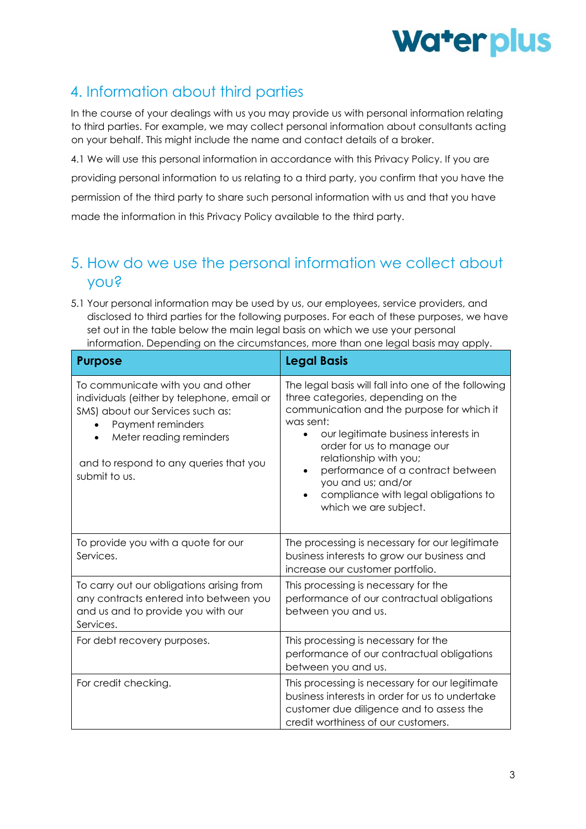

# 4. Information about third parties

In the course of your dealings with us you may provide us with personal information relating to third parties. For example, we may collect personal information about consultants acting on your behalf. This might include the name and contact details of a broker.

4.1 We will use this personal information in accordance with this Privacy Policy. If you are providing personal information to us relating to a third party, you confirm that you have the permission of the third party to share such personal information with us and that you have made the information in this Privacy Policy available to the third party.

### 5. How do we use the personal information we collect about you?

5.1 Your personal information may be used by us, our employees, service providers, and disclosed to third parties for the following purposes. For each of these purposes, we have set out in the table below the main legal basis on which we use your personal information. Depending on the circumstances, more than one legal basis may apply.

| <b>Purpose</b>                                                                                                                                                                                                                 | <b>Legal Basis</b>                                                                                                                                                                                                                                                                                                                                                               |
|--------------------------------------------------------------------------------------------------------------------------------------------------------------------------------------------------------------------------------|----------------------------------------------------------------------------------------------------------------------------------------------------------------------------------------------------------------------------------------------------------------------------------------------------------------------------------------------------------------------------------|
| To communicate with you and other<br>individuals (either by telephone, email or<br>SMS) about our Services such as:<br>Payment reminders<br>Meter reading reminders<br>and to respond to any queries that you<br>submit to us. | The legal basis will fall into one of the following<br>three categories, depending on the<br>communication and the purpose for which it<br>was sent:<br>our legitimate business interests in<br>order for us to manage our<br>relationship with you;<br>performance of a contract between<br>you and us; and/or<br>compliance with legal obligations to<br>which we are subject. |
| To provide you with a quote for our<br>Services.                                                                                                                                                                               | The processing is necessary for our legitimate<br>business interests to grow our business and<br>increase our customer portfolio.                                                                                                                                                                                                                                                |
| To carry out our obligations arising from<br>any contracts entered into between you<br>and us and to provide you with our<br>Services.                                                                                         | This processing is necessary for the<br>performance of our contractual obligations<br>between you and us.                                                                                                                                                                                                                                                                        |
| For debt recovery purposes.                                                                                                                                                                                                    | This processing is necessary for the<br>performance of our contractual obligations<br>between you and us.                                                                                                                                                                                                                                                                        |
| For credit checking.                                                                                                                                                                                                           | This processing is necessary for our legitimate<br>business interests in order for us to undertake<br>customer due diligence and to assess the<br>credit worthiness of our customers.                                                                                                                                                                                            |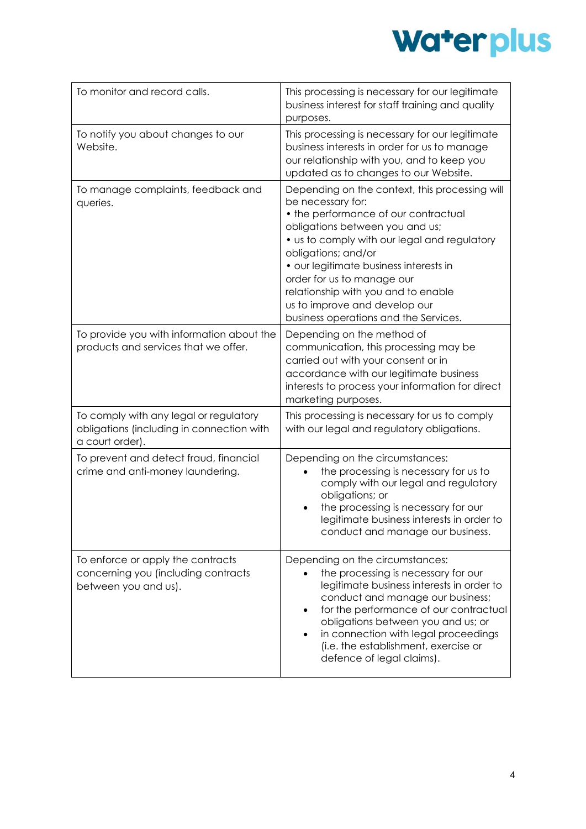

| To monitor and record calls.                                                                           | This processing is necessary for our legitimate<br>business interest for staff training and quality<br>purposes.                                                                                                                                                                                                                                                                                               |
|--------------------------------------------------------------------------------------------------------|----------------------------------------------------------------------------------------------------------------------------------------------------------------------------------------------------------------------------------------------------------------------------------------------------------------------------------------------------------------------------------------------------------------|
| To notify you about changes to our<br>Website.                                                         | This processing is necessary for our legitimate<br>business interests in order for us to manage<br>our relationship with you, and to keep you<br>updated as to changes to our Website.                                                                                                                                                                                                                         |
| To manage complaints, feedback and<br>queries.                                                         | Depending on the context, this processing will<br>be necessary for:<br>• the performance of our contractual<br>obligations between you and us;<br>• us to comply with our legal and regulatory<br>obligations; and/or<br>• our legitimate business interests in<br>order for us to manage our<br>relationship with you and to enable<br>us to improve and develop our<br>business operations and the Services. |
| To provide you with information about the<br>products and services that we offer.                      | Depending on the method of<br>communication, this processing may be<br>carried out with your consent or in<br>accordance with our legitimate business<br>interests to process your information for direct<br>marketing purposes.                                                                                                                                                                               |
| To comply with any legal or regulatory<br>obligations (including in connection with<br>a court order). | This processing is necessary for us to comply<br>with our legal and regulatory obligations.                                                                                                                                                                                                                                                                                                                    |
| To prevent and detect fraud, financial<br>crime and anti-money laundering.                             | Depending on the circumstances:<br>the processing is necessary for us to<br>comply with our legal and regulatory<br>obligations; or<br>the processing is necessary for our<br>legitimate business interests in order to<br>conduct and manage our business.                                                                                                                                                    |
| To enforce or apply the contracts<br>concerning you (including contracts<br>between you and us).       | Depending on the circumstances:<br>the processing is necessary for our<br>legitimate business interests in order to<br>conduct and manage our business;<br>for the performance of our contractual<br>obligations between you and us; or<br>in connection with legal proceedings<br>(i.e. the establishment, exercise or<br>defence of legal claims).                                                           |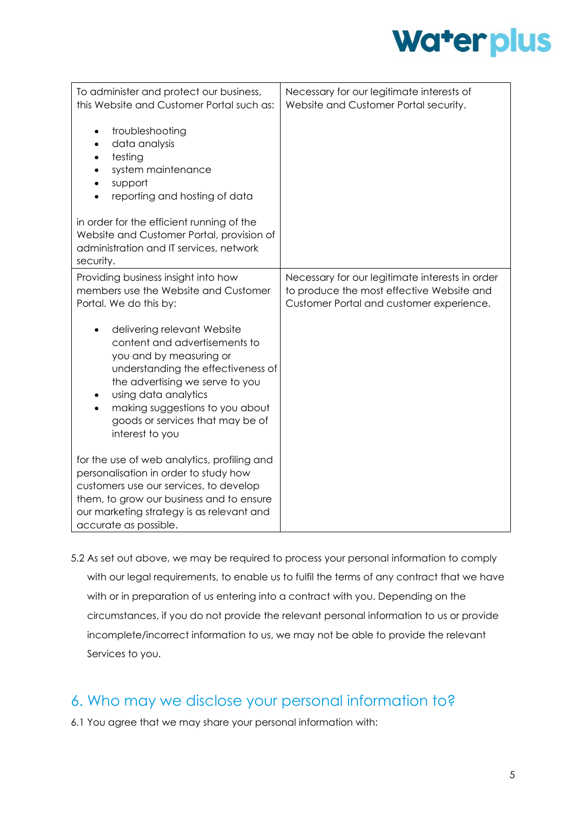

| To administer and protect our business,<br>this Website and Customer Portal such as:<br>troubleshooting<br>data analysis<br>testing<br>system maintenance<br>support<br>reporting and hosting of data<br>in order for the efficient running of the                                 | Necessary for our legitimate interests of<br>Website and Customer Portal security.                                                       |
|------------------------------------------------------------------------------------------------------------------------------------------------------------------------------------------------------------------------------------------------------------------------------------|------------------------------------------------------------------------------------------------------------------------------------------|
| Website and Customer Portal, provision of<br>administration and IT services, network<br>security.                                                                                                                                                                                  |                                                                                                                                          |
| Providing business insight into how<br>members use the Website and Customer<br>Portal. We do this by:                                                                                                                                                                              | Necessary for our legitimate interests in order<br>to produce the most effective Website and<br>Customer Portal and customer experience. |
| delivering relevant Website<br>content and advertisements to<br>you and by measuring or<br>understanding the effectiveness of<br>the advertising we serve to you<br>using data analytics<br>making suggestions to you about<br>goods or services that may be of<br>interest to you |                                                                                                                                          |
| for the use of web analytics, profiling and<br>personalisation in order to study how<br>customers use our services, to develop<br>them, to grow our business and to ensure<br>our marketing strategy is as relevant and<br>accurate as possible.                                   |                                                                                                                                          |

5.2 As set out above, we may be required to process your personal information to comply with our legal requirements, to enable us to fulfil the terms of any contract that we have with or in preparation of us entering into a contract with you. Depending on the circumstances, if you do not provide the relevant personal information to us or provide incomplete/incorrect information to us, we may not be able to provide the relevant Services to you.

### 6. Who may we disclose your personal information to?

6.1 You agree that we may share your personal information with: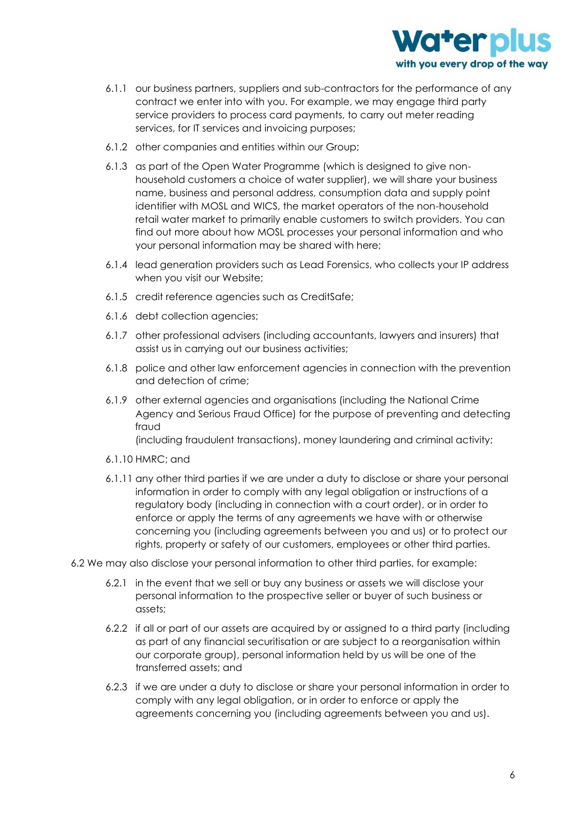

- 6.1.1 our business partners, suppliers and sub-contractors for the performance of any contract we enter into with you. For example, we may engage third party service providers to process card payments, to carry out meter reading services, for IT services and invoicing purposes;
- 6.1.2 other companies and entities within our Group;
- 6.1.3 as part of the Open Water Programme (which is designed to give nonhousehold customers a choice of water supplier), we will share your business name, business and personal address, consumption data and supply point identifier with MOSL and WICS, the market operators of the non-household retail water market to primarily enable customers to switch providers. You can find out more about how MOSL processes your personal information and who your personal information may be shared with here;
- 6.1.4 lead generation providers such as Lead Forensics, who collects your IP address when you visit our Website;
- 6.1.5 credit reference agencies such as CreditSafe;
- 6.1.6 debt collection agencies;
- 6.1.7 other professional advisers (including accountants, lawyers and insurers) that assist us in carrying out our business activities;
- 6.1.8 police and other law enforcement agencies in connection with the prevention and detection of crime;
- 6.1.9 other external agencies and organisations (including the National Crime Agency and Serious Fraud Office) for the purpose of preventing and detecting fraud

(including fraudulent transactions), money laundering and criminal activity;

- 6.1.10 HMRC; and
- 6.1.11 any other third parties if we are under a duty to disclose or share your personal information in order to comply with any legal obligation or instructions of a regulatory body (including in connection with a court order), or in order to enforce or apply the terms of any agreements we have with or otherwise concerning you (including agreements between you and us) or to protect our rights, property or safety of our customers, employees or other third parties.
- 6.2 We may also disclose your personal information to other third parties, for example:
	- 6.2.1 in the event that we sell or buy any business or assets we will disclose your personal information to the prospective seller or buyer of such business or assets;
	- 6.2.2 if all or part of our assets are acquired by or assigned to a third party (including as part of any financial securitisation or are subject to a reorganisation within our corporate group), personal information held by us will be one of the transferred assets; and
	- 6.2.3 if we are under a duty to disclose or share your personal information in order to comply with any legal obligation, or in order to enforce or apply the agreements concerning you (including agreements between you and us).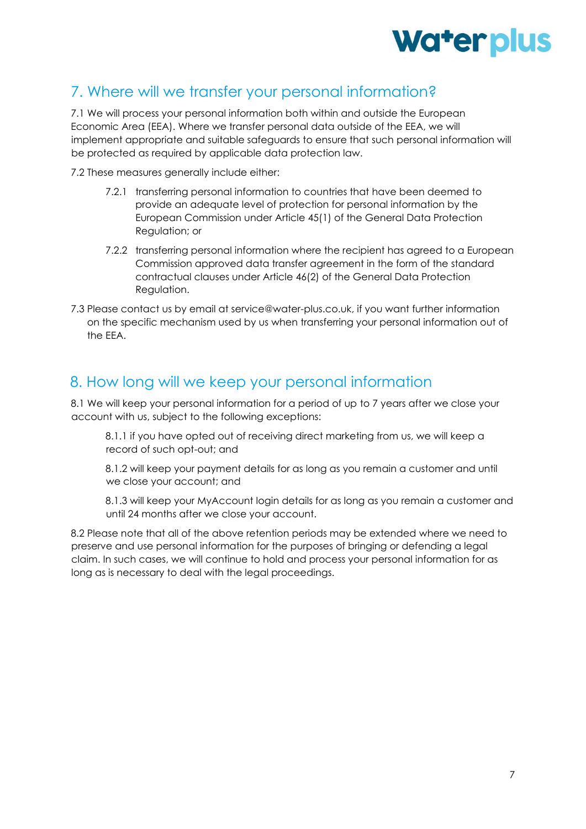

#### 7. Where will we transfer your personal information?

7.1 We will process your personal information both within and outside the European Economic Area (EEA). Where we transfer personal data outside of the EEA, we will implement appropriate and suitable safeguards to ensure that such personal information will be protected as required by applicable data protection law.

7.2 These measures generally include either:

- 7.2.1 transferring personal information to countries that have been deemed to provide an adequate level of protection for personal information by the European Commission under Article 45(1) of the General Data Protection Regulation; or
- 7.2.2 transferring personal information where the recipient has agreed to a European Commission approved data transfer agreement in the form of the standard contractual clauses under Article 46(2) of the General Data Protection Regulation.
- 7.3 Please contact us by email at service@water-plus.co.uk, if you want further information on the specific mechanism used by us when transferring your personal information out of the EEA.

#### 8. How long will we keep your personal information

8.1 We will keep your personal information for a period of up to 7 years after we close your account with us, subject to the following exceptions:

8.1.1 if you have opted out of receiving direct marketing from us, we will keep a record of such opt-out; and

8.1.2 will keep your payment details for as long as you remain a customer and until we close your account; and

8.1.3 will keep your MyAccount login details for as long as you remain a customer and until 24 months after we close your account.

8.2 Please note that all of the above retention periods may be extended where we need to preserve and use personal information for the purposes of bringing or defending a legal claim. In such cases, we will continue to hold and process your personal information for as long as is necessary to deal with the legal proceedings.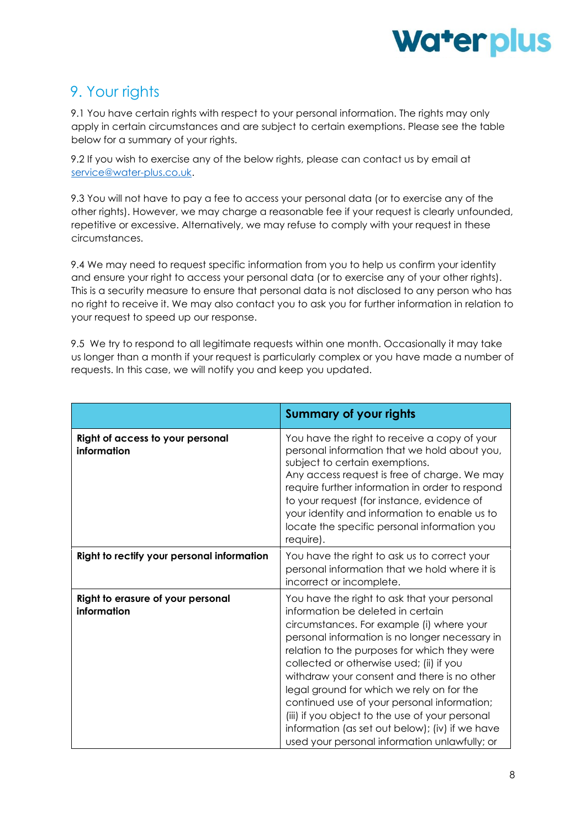

# 9. Your rights

9.1 You have certain rights with respect to your personal information. The rights may only apply in certain circumstances and are subject to certain exemptions. Please see the table below for a summary of your rights.

9.2 If you wish to exercise any of the below rights, please can contact us by email at [service@water-plus.co.uk.](mailto:service@water-plus.co.uk)

9.3 You will not have to pay a fee to access your personal data (or to exercise any of the other rights). However, we may charge a reasonable fee if your request is clearly unfounded, repetitive or excessive. Alternatively, we may refuse to comply with your request in these circumstances.

9.4 We may need to request specific information from you to help us confirm your identity and ensure your right to access your personal data (or to exercise any of your other rights). This is a security measure to ensure that personal data is not disclosed to any person who has no right to receive it. We may also contact you to ask you for further information in relation to your request to speed up our response.

9.5 We try to respond to all legitimate requests within one month. Occasionally it may take us longer than a month if your request is particularly complex or you have made a number of requests. In this case, we will notify you and keep you updated.

|                                                  | <b>Summary of your rights</b>                                                                                                                                                                                                                                                                                                                                                                                                                                                                                                                                                  |
|--------------------------------------------------|--------------------------------------------------------------------------------------------------------------------------------------------------------------------------------------------------------------------------------------------------------------------------------------------------------------------------------------------------------------------------------------------------------------------------------------------------------------------------------------------------------------------------------------------------------------------------------|
| Right of access to your personal<br>information  | You have the right to receive a copy of your<br>personal information that we hold about you,<br>subject to certain exemptions.<br>Any access request is free of charge. We may<br>require further information in order to respond<br>to your request (for instance, evidence of<br>your identity and information to enable us to<br>locate the specific personal information you<br>require).                                                                                                                                                                                  |
| Right to rectify your personal information       | You have the right to ask us to correct your<br>personal information that we hold where it is<br>incorrect or incomplete.                                                                                                                                                                                                                                                                                                                                                                                                                                                      |
| Right to erasure of your personal<br>information | You have the right to ask that your personal<br>information be deleted in certain<br>circumstances. For example (i) where your<br>personal information is no longer necessary in<br>relation to the purposes for which they were<br>collected or otherwise used; (ii) if you<br>withdraw your consent and there is no other<br>legal ground for which we rely on for the<br>continued use of your personal information;<br>(iii) if you object to the use of your personal<br>information (as set out below); (iv) if we have<br>used your personal information unlawfully; or |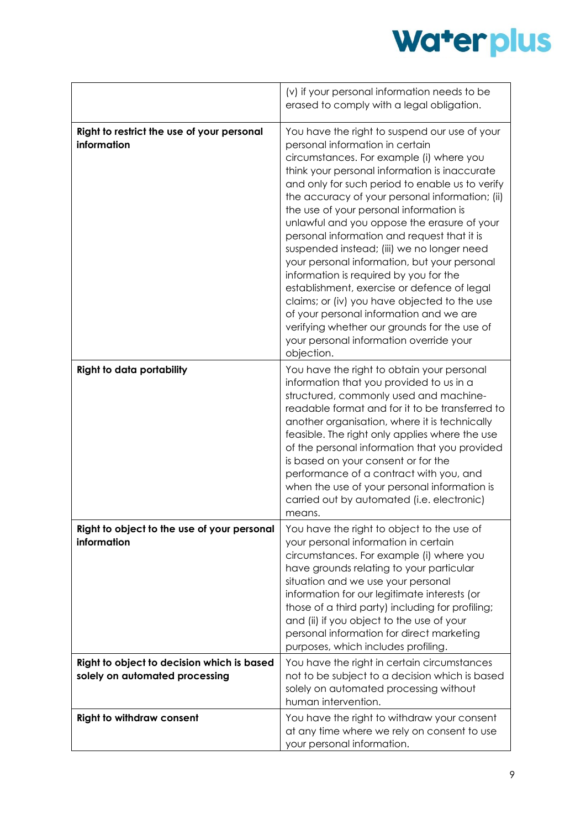

|                                                                              | (v) if your personal information needs to be<br>erased to comply with a legal obligation.                                                                                                                                                                                                                                                                                                                                                                                                                                                                                                                                                                                                                                                                                                                               |
|------------------------------------------------------------------------------|-------------------------------------------------------------------------------------------------------------------------------------------------------------------------------------------------------------------------------------------------------------------------------------------------------------------------------------------------------------------------------------------------------------------------------------------------------------------------------------------------------------------------------------------------------------------------------------------------------------------------------------------------------------------------------------------------------------------------------------------------------------------------------------------------------------------------|
| Right to restrict the use of your personal<br>information                    | You have the right to suspend our use of your<br>personal information in certain<br>circumstances. For example (i) where you<br>think your personal information is inaccurate<br>and only for such period to enable us to verify<br>the accuracy of your personal information; (ii)<br>the use of your personal information is<br>unlawful and you oppose the erasure of your<br>personal information and request that it is<br>suspended instead; (iii) we no longer need<br>your personal information, but your personal<br>information is required by you for the<br>establishment, exercise or defence of legal<br>claims; or (iv) you have objected to the use<br>of your personal information and we are<br>verifying whether our grounds for the use of<br>your personal information override your<br>objection. |
| <b>Right to data portability</b>                                             | You have the right to obtain your personal<br>information that you provided to us in a<br>structured, commonly used and machine-<br>readable format and for it to be transferred to<br>another organisation, where it is technically<br>feasible. The right only applies where the use<br>of the personal information that you provided<br>is based on your consent or for the<br>performance of a contract with you, and<br>when the use of your personal information is<br>carried out by automated (i.e. electronic)<br>means.                                                                                                                                                                                                                                                                                       |
| Right to object to the use of your personal<br>information                   | You have the right to object to the use of<br>your personal information in certain<br>circumstances. For example (i) where you<br>have grounds relating to your particular<br>situation and we use your personal<br>information for our legitimate interests (or<br>those of a third party) including for profiling;<br>and (ii) if you object to the use of your<br>personal information for direct marketing<br>purposes, which includes profiling.                                                                                                                                                                                                                                                                                                                                                                   |
| Right to object to decision which is based<br>solely on automated processing | You have the right in certain circumstances<br>not to be subject to a decision which is based<br>solely on automated processing without<br>human intervention.                                                                                                                                                                                                                                                                                                                                                                                                                                                                                                                                                                                                                                                          |
| <b>Right to withdraw consent</b>                                             | You have the right to withdraw your consent<br>at any time where we rely on consent to use<br>your personal information.                                                                                                                                                                                                                                                                                                                                                                                                                                                                                                                                                                                                                                                                                                |